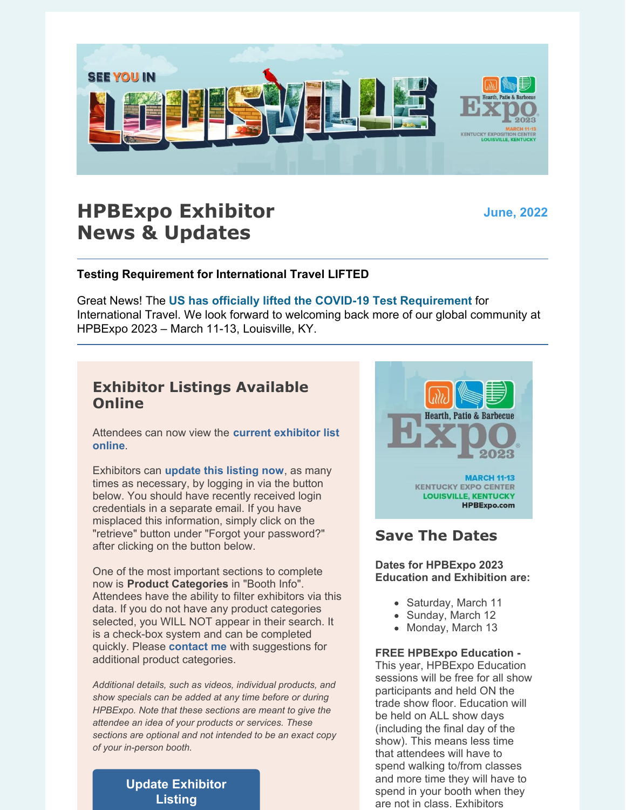

# **HPBExpo Exhibitor News & Updates**

**June, 2022**

## **Testing Requirement for International Travel LIFTED**

Great News! The **US has officially lifted the COVID-19 Test [Requirement](https://l.facebook.com/l.php?u=https%3A%2F%2Fwww.nbcwashington.com%2Fnews%2Fnational-international%2Fus-lifting-covid-19-test-requirement-for-international-travel%2F3074490%2F%3F_osource%3DSocialFlowFB_DCBrand%26fbclid%3DIwAR0603AmSDc-jBTTmT_zpqjL7ohwHjtUGpw87nrJDk41RJu6ANk0LBr7g9M&h=AT0_tap2ctoTo0qQGGR918FsVu5jwNgYVv1jl1JdkchBxxO3spLZD4kBW5MD_23iYmbjtx9YsIzVcy3WjbVenfGtK3mwBbNNnkxd3t7w5bz5kGu7rXKD1Oj4QDIb88hs3VG8frgv9hZc1jhOZF2ndkxzVvcx_d9AZ6Wa&__tn__=-UK-R&c%5B0%5D=AT0geQ3w5v-uMS8XvjLsiIoquCCYMomptNgb3CgvzZgPKgo69TRwJdqAqLkxGKUFv8fgo-ZJQDCAxKRR41ugHXU8sFbaLnKnNniyc_thxMUT03K3mnnlJZnsjR02oyjys-OS7I4NNrTrpETywhvZjQejsic58Soww9RMK-K4rzX3aWXz2ErnR12C3mni1t23e-pQATyxMwRQR6AEhztC1TtYT7E)** for International Travel. We look forward to welcoming back more of our global community at HPBExpo 2023 – March 11-13, Louisville, KY.

## **Exhibitor Listings Available Online**

[Attendees](https://s23.a2zinc.net/clients/HPBA/HPBExpo2023/Public/Exhibitors.aspx) can now view the **current exhibitor list online**.

Exhibitors can **[update](https://s23.a2zinc.net/clients/HPBA/HPBExpo2023/Public/e_Login.aspx) this listing now**, as many times as necessary, by logging in via the button below. You should have recently received login credentials in a separate email. If you have misplaced this information, simply click on the "retrieve" button under "Forgot your password?" after clicking on the button below.

One of the most important sections to complete now is **Product Categories** in "Booth Info". Attendees have the ability to filter exhibitors via this data. If you do not have any product categories selected, you WILL NOT appear in their search. It is a check-box system and can be completed quickly. Please **[contact](mailto:amyjackson@hpba.org) me** with suggestions for additional product categories.

*Additional details, such as videos, individual products, and show specials can be added at any time before or during HPBExpo. Note that these sections are meant to give the attendee an idea of your products or services. These sections are optional and not intended to be an exact copy of your in-person booth.*

> **Update [Exhibitor](https://s23.a2zinc.net/clients/HPBA/HPBExpo2023/Public/e_Login.aspx) Listing**



# **Save The Dates**

**Dates for HPBExpo 2023 Education and Exhibition are:**

- Saturday, March 11
- Sunday, March 12
- Monday, March 13

#### **FREE HPBExpo Education -**

This year, HPBExpo Education sessions will be free for all show participants and held ON the trade show floor. Education will be held on ALL show days (including the final day of the show). This means less time that attendees will have to spend walking to/from classes and more time they will have to spend in your booth when they are not in class. Exhibitors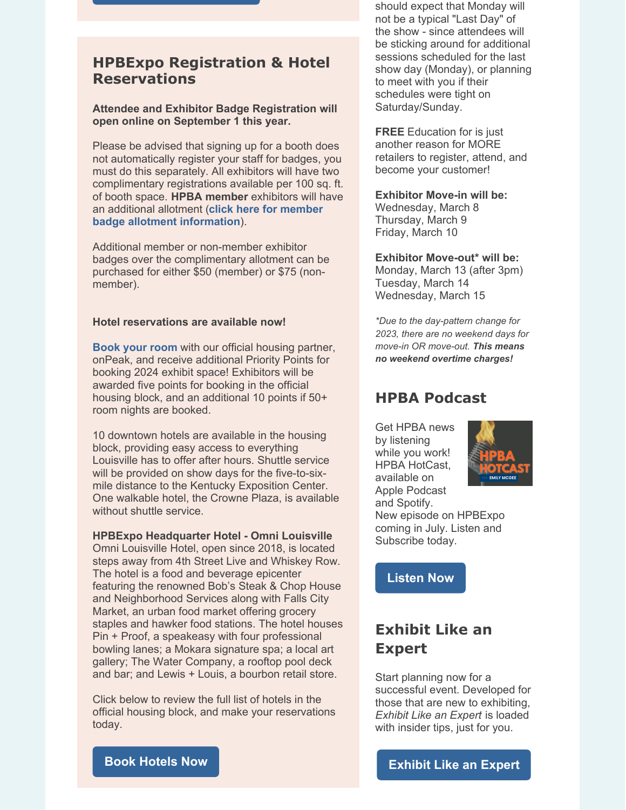## **HPBExpo Registration & Hotel Reservations**

#### **Attendee and Exhibitor Badge Registration will open online on September 1 this year.**

Please be advised that signing up for a booth does not automatically register your staff for badges, you must do this separately. All exhibitors will have two complimentary registrations available per 100 sq. ft. of booth space. **HPBA member** exhibitors will have an additional allotment (**click here for member badge allotment [information](https://www.hpba.org/Manufacturers)**).

Additional member or non-member exhibitor badges over the complimentary allotment can be purchased for either \$50 (member) or \$75 (nonmember).

#### **Hotel reservations are available now!**

**[Book](https://compass.onpeak.com/e/42HPBA2023HIR) your room** with our official housing partner, onPeak, and receive additional Priority Points for booking 2024 exhibit space! Exhibitors will be awarded five points for booking in the official housing block, and an additional 10 points if 50+ room nights are booked.

10 downtown hotels are available in the housing block, providing easy access to everything Louisville has to offer after hours. Shuttle service will be provided on show days for the five-to-sixmile distance to the Kentucky Exposition Center. One walkable hotel, the Crowne Plaza, is available without shuttle service.

#### **HPBExpo Headquarter Hotel - Omni Louisville**

Omni Louisville Hotel, open since 2018, is located steps away from 4th Street Live and Whiskey Row. The hotel is a food and beverage epicenter featuring the renowned Bob's Steak & Chop House and Neighborhood Services along with Falls City Market, an urban food market offering grocery staples and hawker food stations. The hotel houses Pin + Proof, a speakeasy with four professional bowling lanes; a Mokara signature spa; a local art gallery; The Water Company, a rooftop pool deck and bar; and Lewis + Louis, a bourbon retail store.

Click below to review the full list of hotels in the official housing block, and make your reservations today.

should expect that Monday will not be a typical "Last Day" of the show - since attendees will be sticking around for additional sessions scheduled for the last show day (Monday), or planning to meet with you if their schedules were tight on Saturday/Sunday.

**FREE** Education for is just another reason for MORE retailers to register, attend, and become your customer!

#### **Exhibitor Move-in will be:**

Wednesday, March 8 Thursday, March 9 Friday, March 10

#### **Exhibitor Move-out\* will be:**

Monday, March 13 (after 3pm) Tuesday, March 14 Wednesday, March 15

*\*Due to the day-pattern change for 2023, there are no weekend days for move-in OR move-out. This means no weekend overtime charges!*

## **HPBA Podcast**

Get HPBA news by listening while you work! HPBA HotCast, available on Apple Podcast and Spotify.



New episode on HPBExpo coming in July. Listen and Subscribe today.

**[Listen](https://podcasts.apple.com/us/podcast/hpba-hotcast/id1616554898) Now**

# **Exhibit Like an Expert**

Start planning now for a successful event. Developed for those that are new to exhibiting, *Exhibit Like an Expert* is loaded with insider tips, just for you.

### **Book [Hotels](https://compass.onpeak.com/e/42HPBA2023HIR/0) Now**

**[Exhibit](https://files.constantcontact.com/ae878cba201/86ccf0d8-1e37-4b11-a5ca-58f6ab214c03.pdf) Like an Expert**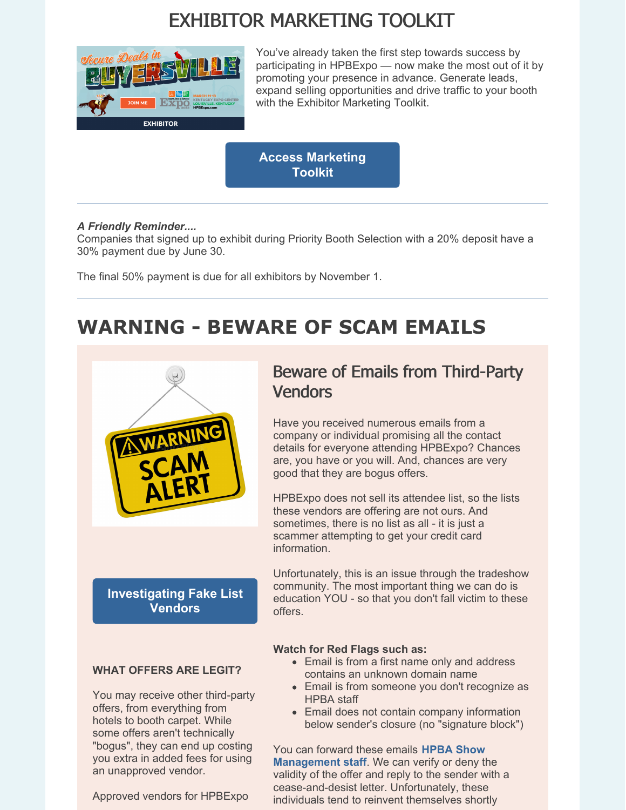# EXHIBITOR MARKETING TOOLKIT



You've already taken the first step towards success by participating in HPBExpo — now make the most out of it by promoting your presence in advance. Generate leads, expand selling opportunities and drive traffic to your booth with the Exhibitor Marketing Toolkit.

**Access [Marketing](https://www.hpbexpo.com/exhibit/exhibitor-resources/marketing-toolkit/) Toolkit**

### *A Friendly Reminder....*

Companies that signed up to exhibit during Priority Booth Selection with a 20% deposit have a 30% payment due by June 30.

The final 50% payment is due for all exhibitors by November 1.

# **WARNING - BEWARE OF SCAM EMAILS**



## **[Investigating](https://www.tsnn.com/blog/investigation-fake-list-vendors) Fake List Vendors**

# Beware of Emails from Third-Party Vendors

Have you received numerous emails from a company or individual promising all the contact details for everyone attending HPBExpo? Chances are, you have or you will. And, chances are very good that they are bogus offers.

HPBExpo does not sell its attendee list, so the lists these vendors are offering are not ours. And sometimes, there is no list as all - it is just a scammer attempting to get your credit card information.

Unfortunately, this is an issue through the tradeshow community. The most important thing we can do is education YOU - so that you don't fall victim to these offers.

## **Watch for Red Flags such as:**

- Email is from a first name only and address contains an unknown domain name
- Email is from someone you don't recognize as HPBA staff
- Email does not contain company information below sender's closure (no "signature block")

You can forward these emails **HPBA Show [Management](mailto:amyjackson@hpba.org) staff**. We can verify or deny the validity of the offer and reply to the sender with a cease-and-desist letter. Unfortunately, these individuals tend to reinvent themselves shortly

## **WHAT OFFERS ARE LEGIT?**

You may receive other third-party offers, from everything from hotels to booth carpet. While some offers aren't technically "bogus", they can end up costing you extra in added fees for using an unapproved vendor.

Approved vendors for HPBExpo